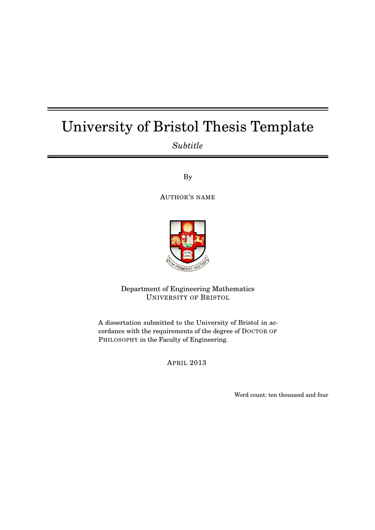# University of Bristol Thesis Template

*Subtitle*

By

AUTHOR'S NAME



Department of Engineering Mathematics UNIVERSITY OF BRISTOL

A dissertation submitted to the University of Bristol in accordance with the requirements of the degree of DOCTOR OF PHILOSOPHY in the Faculty of Engineering.

APRIL 2013

Word count: ten thousand and four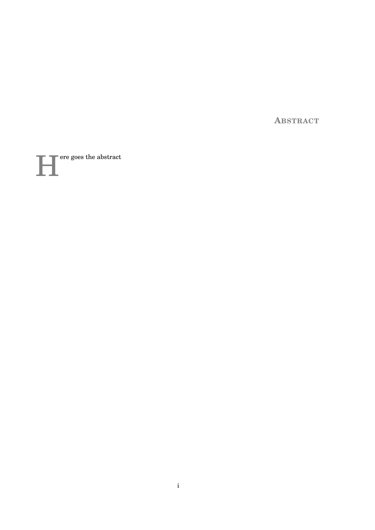**ABSTRACT** 

ere goes the abstract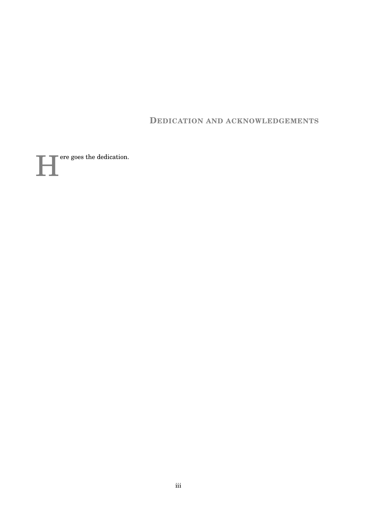**DEDICATION AND ACKNOWLEDGEMENTS** 

ere goes the dedication.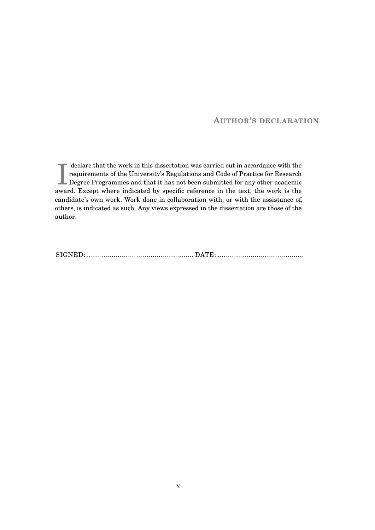## **AUTHOR'S DECLARATION**

I declare that the work in this dissertation was carried out in accordance with the requirements of the University's Regulations and Code of Practice for Research Degree Programmes and that it has not been submitted for an declare that the work in this dissertation was carried out in accordance with the requirements of the University's Regulations and Code of Practice for Research award. Except where indicated by specific reference in the text, the work is the candidate's own work. Work done in collaboration with, or with the assistance of, others, is indicated as such. Any views expressed in the dissertation are those of the author.

SIGNED: .................................................... DATE: ..........................................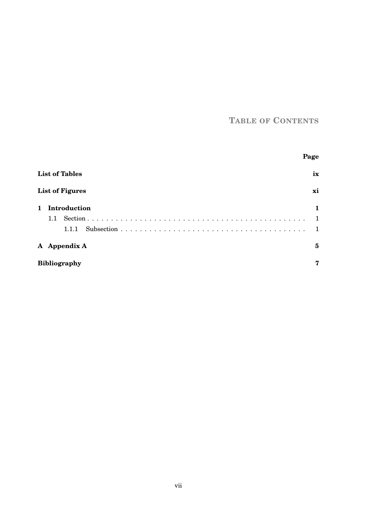# **TABLE OF CONTENTS**

|                       |                        | Page |  |
|-----------------------|------------------------|------|--|
| <b>List of Tables</b> |                        | ix   |  |
|                       | <b>List of Figures</b> | xi   |  |
| 1                     | Introduction           |      |  |
|                       | 1.1                    |      |  |
|                       | 1.1.1                  |      |  |
|                       | A Appendix A           | 5    |  |
|                       | <b>Bibliography</b>    | 7    |  |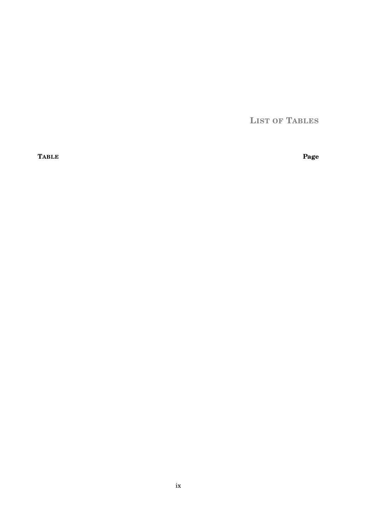**LIST OF TABLES** 

<span id="page-10-0"></span>**TABLE** 

Page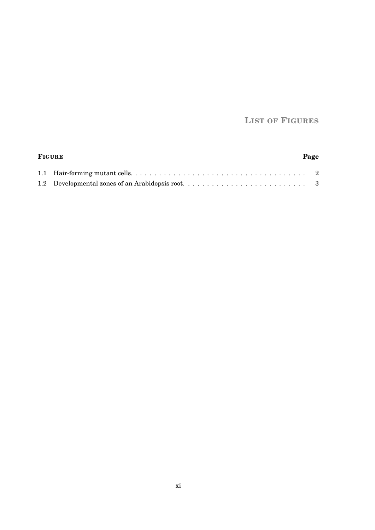## **LIST OF FIGURES**

<span id="page-12-0"></span>

| <b>FIGURE</b> |  | Page |  |
|---------------|--|------|--|
|               |  |      |  |
|               |  |      |  |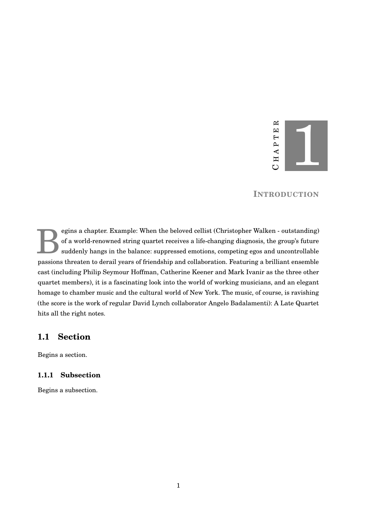

#### **INTRODUCTION**

<span id="page-14-0"></span>B egins a chapter. Example: When the beloved cellist (Christopher Walken - outstanding) of a world-renowned string quartet receives a life-changing diagnosis, the group's future suddenly hangs in the balance: suppressed emotions, competing egos and uncontrollable passions threaten to derail years of friendship and collaboration. Featuring a brilliant ensemble cast (including Philip Seymour Hoffman, Catherine Keener and Mark Ivanir as the three other quartet members), it is a fascinating look into the world of working musicians, and an elegant homage to chamber music and the cultural world of New York. The music, of course, is ravishing (the score is the work of regular David Lynch collaborator Angelo Badalamenti): A Late Quartet hits all the right notes.

## <span id="page-14-1"></span>**1.1 Section**

Begins a section.

#### <span id="page-14-2"></span>**1.1.1 Subsection**

Begins a subsection.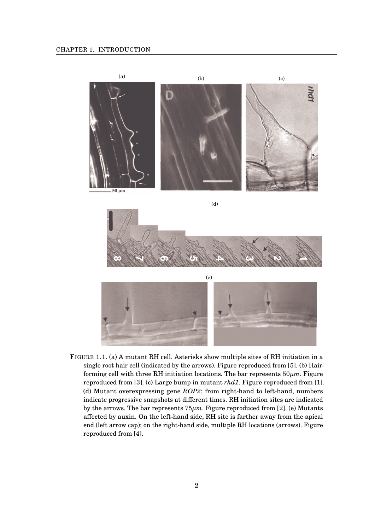

<span id="page-15-0"></span>FIGURE 1.1. (a) A mutant RH cell. Asterisks show multiple sites of RH initiation in a single root hair cell (indicated by the arrows). Figure reproduced from [\[5\]](#page-20-1). (b) Hairforming cell with three RH initiation locations. The bar represents 50*µm*. Figure reproduced from [\[3\]](#page-20-2). (c) Large bump in mutant *rhd1*. Figure reproduced from [\[1\]](#page-20-0). (d) Mutant overexpressing gene *ROP2*; from right-hand to left-hand, numbers indicate progressive snapshots at different times. RH initiation sites are indicated by the arrows. The bar represents 75*µm*. Figure reproduced from [\[2\]](#page-20-3). (e) Mutants affected by auxin. On the left-hand side, RH site is farther away from the apical end (left arrow cap); on the right-hand side, multiple RH locations (arrows). Figure reproduced from [\[4\]](#page-20-4).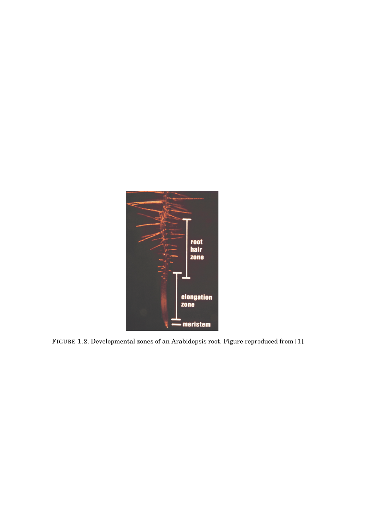<span id="page-16-0"></span>

FIGURE 1.2. Developmental zones of an Arabidopsis root. Figure reproduced from [\[1\]](#page-20-0).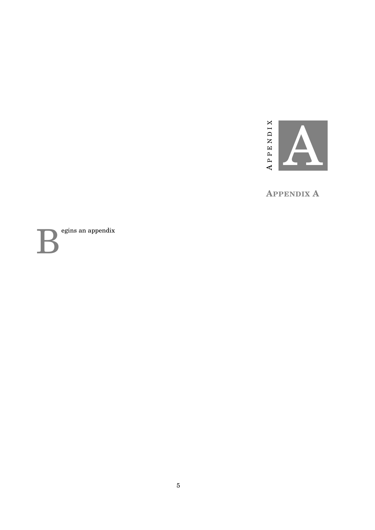

**APPENDIX A** 

<span id="page-18-0"></span> $egins$ an appendix